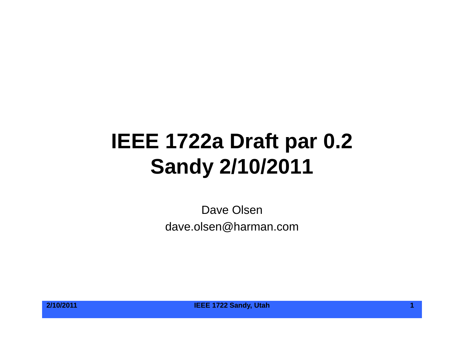# **IEEE 1722a Draft par 0.2 Sandy 2/10/2011**

Dave Olsen dave.olsen@harman.com



**2/10/2011 IEEE 1722 Sandy, Utah 1**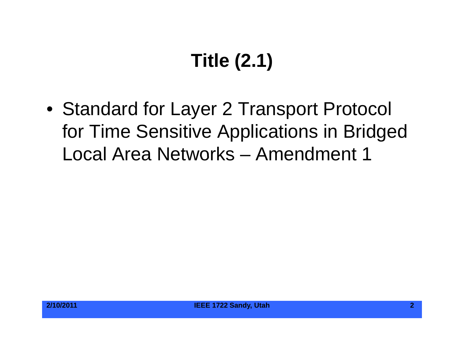# **Title (2.1)**

• Standard for Layer 2 Transport Protocol for Time Sensitive Applications in Bridged Local Area Networks – Amendment 1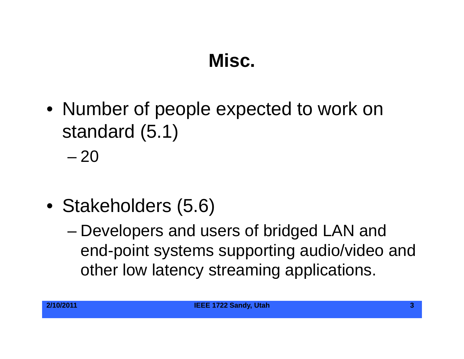## **Misc.**

• Number of people expected to work on standard (5.1)

– 20

- Stakeholders (5.6)
	- Developers and users of bridged LAN and end-point systems supporting audio/video and other low latency streaming applications.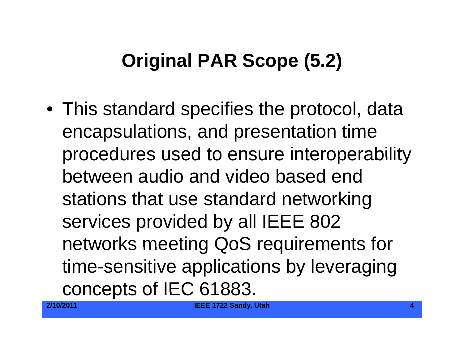# **Original PAR Scope (5.2)**

 $\bullet\,$  This standard specifies the protocol, data encapsulations, and presentation time procedures used to ensure interoperability between audio and video based end stations that use standard networking services provided by all IEEE 802 networks meeting QoS requirements for time-sensitive applications by leveraging concepts of IEC 61883.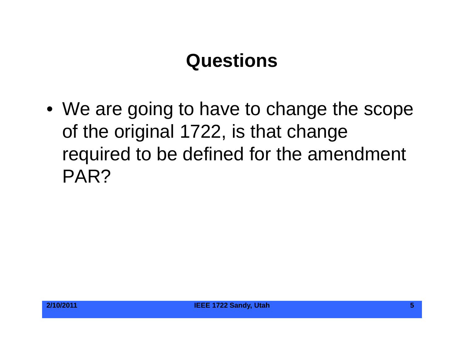#### **Questions**

 $\bullet\,$  We are going to have to change the scope of the original 1722, is that change required to be defined for the amendment PAR?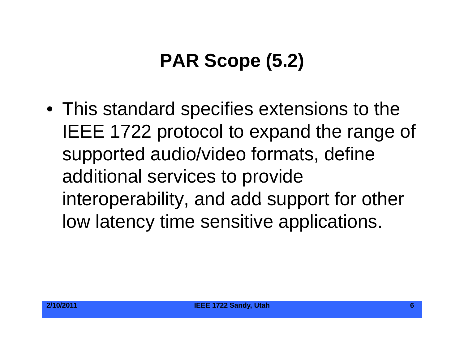# **PAR Scope (5.2)**

• This standard specifies extensions to the IEEE 1722 protocol to expand the range of supported audio/video formats, define additional services to provide interoperability, and add support for other low latency time sensitive applications.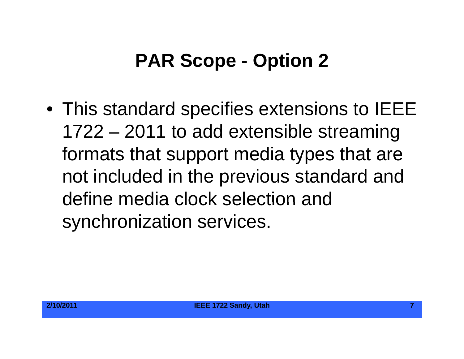#### **PAR Scope - Option 2**

• This standard specifies extensions to IEEE 1722 – 2011 to add extensible streaming formats that support media types that are not included in the previous standard and define media clock selection andsynchronization services.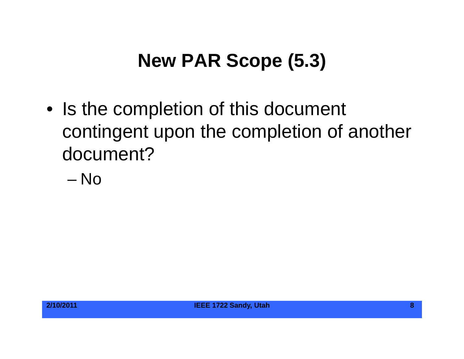## **New PAR Scope (5.3)**

- Is the completion of this document contingent upon the completion of another document?
	- No

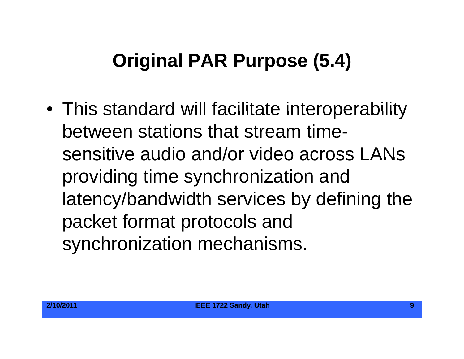# **Original PAR Purpose (5.4)**

• This standard will facilitate interoperability between stations that stream timesensitive audio and/or video across LANs providing time synchronization and latency/bandwidth services by defining the packet format protocols and synchronization mechanisms.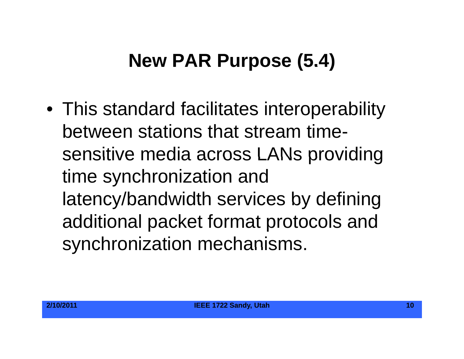# **New PAR Purpose (5.4)**

 $\bullet\,$  This standard facilitates interoperability between stations that stream timesensitive media across LANs providing time synchronization and latency/bandwidth services by defining additional packet format protocols and synchronization mechanisms.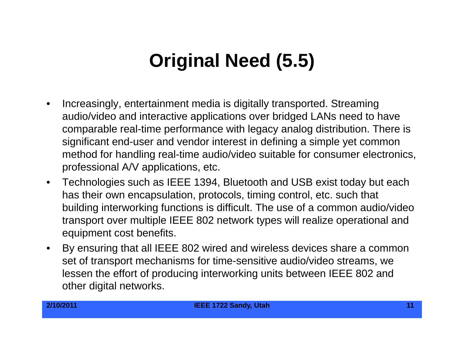# **Original Need (5.5) Original (5.5)**

- $\bullet$  Increasingly, entertainment media is digitally transported. Streaming audio/video and interactive applications over bridged LANs need to have comparable real-time performance with legacy analog distribution. There is significant end-user and vendor interest in defining a simple yet common method for handling real-time audio/video suitable for consumer electronics, professional A/V applications, etc.
- $\bullet$  Technologies such as IEEE 1394, Bluetooth and USB exist today but each has their own encapsulation, protocols, timing control, etc. such that building interworking functions is difficult. The use of a common audio/video transport over multiple IEEE 802 network types will realize operational and equipment cost benefits.
- $\bullet$  $\bullet$  By ensuring that all IEEE 802 wired and wireless devices share a common set of transport mechanisms for time-sensitive audio/video streams, we lessen the effort of producing interworking units between IEEE 802 and other digital networks.

**2/10/2011 IEEE 1722 Sandy, Utah 11**